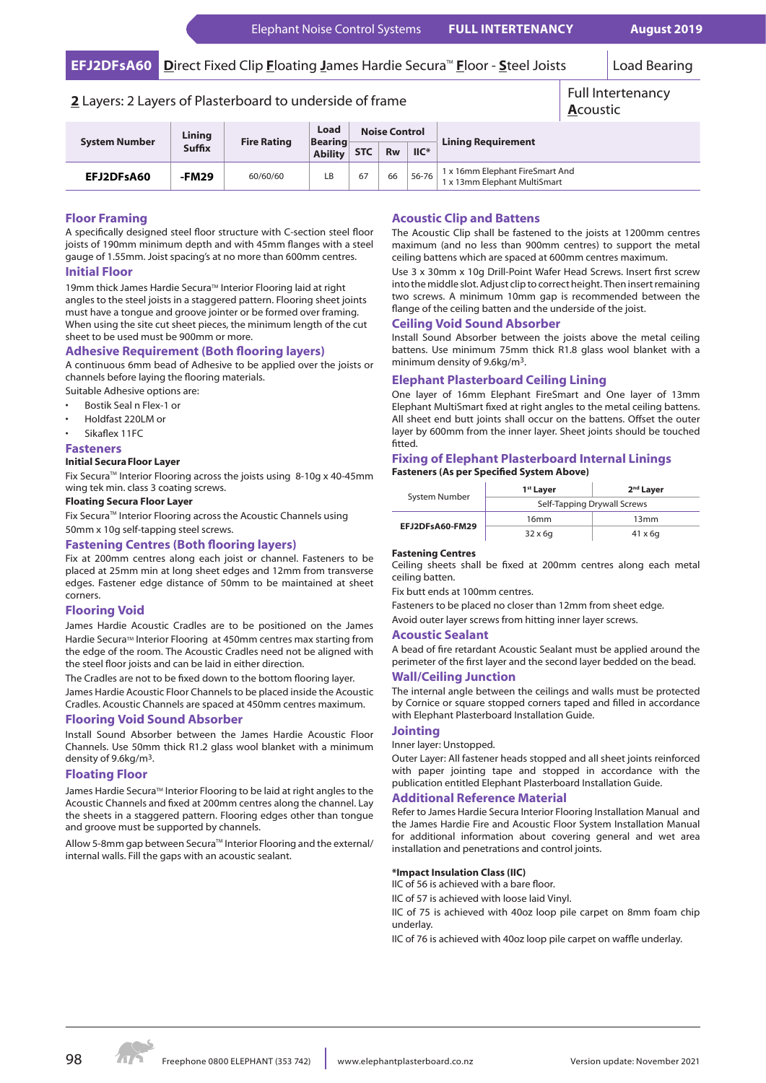# **EFJ2DFsA60** Direct Fixed Clip **F**loating James Hardie Secura™ Floor - Steel Joists | Load Bearing

# **2** Layers: 2 Layers of Plasterboard to underside of frame Full Intertenancy

#### **System Number Lining Fire Rating Load Bearing Ability Noise Control Lining Requirement STC Rw IIC\* EFJ2DFsA60 -FM29** 60/60/60 LB 67 66 56-76 1x 16mm Elephant FireSmart And 1 x 13mm Elephant MultiSmart **A**coustic

# **Floor Framing**

A specifically designed steel floor structure with C-section steel floor joists of 190mm minimum depth and with 45mm flanges with a steel gauge of 1.55mm. Joist spacing's at no more than 600mm centres. **Initial Floor**

19mm thick James Hardie Secura™ Interior Flooring laid at right angles to the steel joists in a staggered pattern. Flooring sheet joints must have a tongue and groove jointer or be formed over framing. When using the site cut sheet pieces, the minimum length of the cut sheet to be used must be 900mm or more.

# **Adhesive Requirement (Both flooring layers)**

A continuous 6mm bead of Adhesive to be applied over the joists or channels before laying the flooring materials.

Suitable Adhesive options are:

- Bostik Seal n Flex-1 or
- Holdfast 220LM or
- Sikaflex 11FC

# **Fasteners**

# **Initial SecuraFloor Layer**

Fix Secura<sup>™</sup> Interior Flooring across the joists using 8-10g x 40-45mm wing tek min. class 3 coating screws.

### **Floating Secura Floor Layer**

Fix Secura™ Interior Flooring across the Acoustic Channels using 50mm x 10g self-tapping steel screws.

# **Fastening Centres (Both flooring layers)**

Fix at 200mm centres along each joist or channel. Fasteners to be placed at 25mm min at long sheet edges and 12mm from transverse edges. Fastener edge distance of 50mm to be maintained at sheet corners.

# **Flooring Void**

James Hardie Acoustic Cradles are to be positioned on the James Hardie Secura™ Interior Flooring at 450mm centres max starting from the edge of the room. The Acoustic Cradles need not be aligned with the steel floor joists and can be laid in either direction.

The Cradles are not to be fixed down to the bottom flooring layer. James Hardie Acoustic Floor Channels to be placed inside the Acoustic Cradles. Acoustic Channels are spaced at 450mm centres maximum.

### **Flooring Void Sound Absorber**

Install Sound Absorber between the James Hardie Acoustic Floor Channels. Use 50mm thick R1.2 glass wool blanket with a minimum density of 9.6kg/m3.

# **Floating Floor**

James Hardie Secura™ Interior Flooring to be laid at right angles to the Acoustic Channels and fixed at 200mm centres along the channel. Lay the sheets in a staggered pattern. Flooring edges other than tongue and groove must be supported by channels.

Allow 5-8mm gap between Secura™ Interior Flooring and the external/ internal walls. Fill the gaps with an acoustic sealant.

# **Acoustic Clip and Battens**

The Acoustic Clip shall be fastened to the joists at 1200mm centres maximum (and no less than 900mm centres) to support the metal ceiling battens which are spaced at 600mm centres maximum.

Use 3 x 30mm x 10g Drill-Point Wafer Head Screws. Insert first screw into the middle slot. Adjust clip to correct height. Then insert remaining two screws. A minimum 10mm gap is recommended between the flange of the ceiling batten and the underside of the joist.

# **Ceiling Void Sound Absorber**

Install Sound Absorber between the joists above the metal ceiling battens. Use minimum 75mm thick R1.8 glass wool blanket with a minimum density of 9.6kg/m3.

# **Elephant Plasterboard Ceiling Lining**

One layer of 16mm Elephant FireSmart and One layer of 13mm Elephant MultiSmart fixed at right angles to the metal ceiling battens. All sheet end butt joints shall occur on the battens. Offset the outer layer by 600mm from the inner layer. Sheet joints should be touched fitted.

# **Fixing of Elephant Plasterboard Internal Linings Fasteners (As per Specified System Above)**

| System Number   | 1 <sup>st</sup> Layer       | 2 <sup>nd</sup> Layer |
|-----------------|-----------------------------|-----------------------|
|                 | Self-Tapping Drywall Screws |                       |
| EFJ2DFsA60-FM29 | 16mm                        | 13mm                  |
|                 | $32 \times 6q$              | $41 \times 6q$        |

# **Fastening Centres**

Ceiling sheets shall be fixed at 200mm centres along each metal ceiling batten.

Fix butt ends at 100mm centres.

Fasteners to be placed no closer than 12mm from sheet edge. Avoid outer layer screws from hitting inner layer screws.

# **Acoustic Sealant**

A bead of fire retardant Acoustic Sealant must be applied around the perimeter of the first layer and the second layer bedded on the bead.

# **Wall/Ceiling Junction**

The internal angle between the ceilings and walls must be protected by Cornice or square stopped corners taped and filled in accordance with Elephant Plasterboard Installation Guide.

### **Jointing**

Inner layer: Unstopped.

Outer Layer: All fastener heads stopped and all sheet joints reinforced with paper jointing tape and stopped in accordance with the publication entitled Elephant Plasterboard Installation Guide.

# **Additional Reference Material**

Refer to James Hardie Secura Interior Flooring Installation Manual and the James Hardie Fire and Acoustic Floor System Installation Manual for additional information about covering general and wet area installation and penetrations and control joints.

# **\*Impact Insulation Class (IIC)**

IIC of 56 is achieved with a bare floor.

IIC of 57 is achieved with loose laid Vinyl.

IIC of 75 is achieved with 40oz loop pile carpet on 8mm foam chip underlay.

IIC of 76 is achieved with 40oz loop pile carpet on waffle underlay.